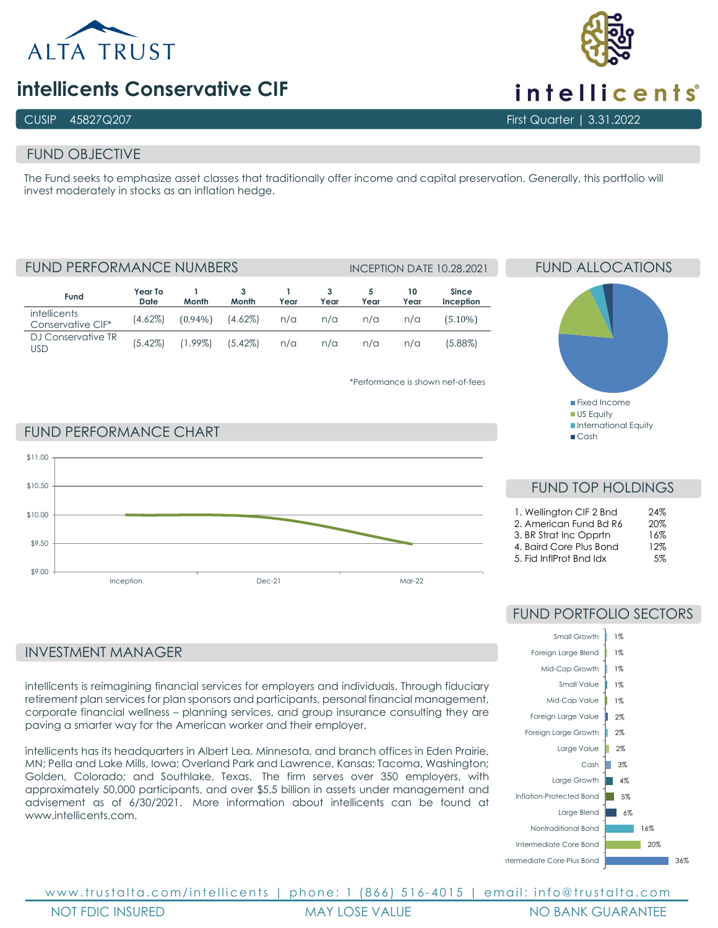

# **intellicents Conservative CIF**

## CUSIP 45827Q207 First Quarter | 3.31.2022

# FUND OBJECTIVE

The Fund seeks to emphasize asset classes that traditionally offer income and capital preservation. Generally, this portfolio will invest moderately in stocks as an inflation hedge.

**Fund Year To Date 1 Month 3 Month 1 Year 3 Year 5 Year 10 Year Since Inception intellicents** Conservative CIF\* (4.62%) (0.94%) (4.62%) n/a n/a n/a n/a (5.10%) DJ Conservative TR USD (5.42%) (1.99%) (5.42%) n/a n/a n/a n/a (5.88%) FUND PERFORMANCE NUMBERS INCEPTION DATE 10.28.2021

\*Performance is shown net-of-fees



FUND ALLOCATIONS

# FUND PERFORMANCE CHART



# INVESTMENT MANAGER

intellicents is reimagining financial services for employers and individuals. Through fiduciary retirement plan services for plan sponsors and participants, personal financial management, corporate financial wellness – planning services, and group insurance consulting they are paving a smarter way for the American worker and their employer.

intellicents has its headquarters in Albert Lea, Minnesota, and branch offices in Eden Prairie, MN; Pella and Lake Mills, Iowa; Overland Park and Lawrence, Kansas; Tacoma, Washington; Golden, Colorado; and Southlake, Texas. The firm serves over 350 employers, with approximately 50,000 participants, and over \$5.5 billion in assets under management and advisement as of 6/30/2021. More information about intellicents can be found at www.intellicents.com

# FUND TOP HOLDINGS

| 1. Wellington CIF 2 Bnd | 24%    |
|-------------------------|--------|
| 2. American Fund Bd R6  | 20%    |
| 3. BR Strat Inc Opprtn  | 16%    |
| 4. Baird Core Plus Bond | 12%    |
| 5. Fid InflProt Bnd Idx | $.5\%$ |

# FUND PORTFOLIO SECTORS



www.trustalta.com/ intellicents | phone: 1 (866) 516 - 4015 | email: info@trustalta.com NOT FDIC INSURED MAY LOSE VALUE NO BANK GUARANTEE



intellicents®